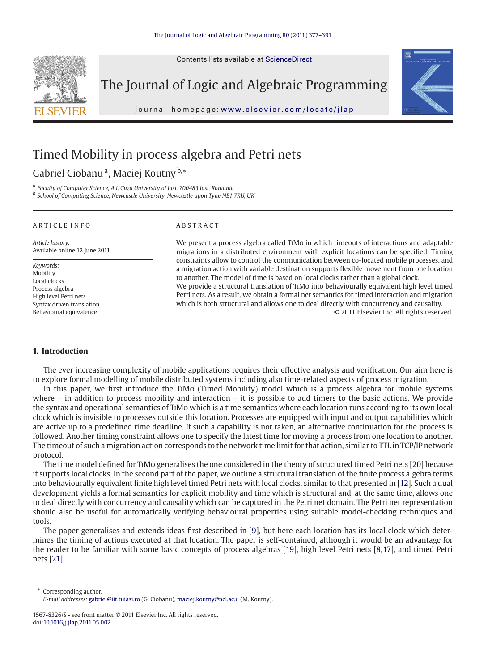Contents lists available at [ScienceDirect](http://www.sciencedirect.com/science/journal/15678326)



The Journal of Logic and Algebraic Programming

journal homepage: <www.elsevier.com/locate/jlap>



## Timed Mobility in process algebra and Petri nets

Gabriel Ciobanu<sup>a</sup>, Maciej Koutny<sup>b,</sup>\*

*<sup>a</sup> Faculty of Computer Science, A.I. Cuza University of Iasi, 700483 Iasi, Romania <sup>b</sup> School of Computing Science, Newcastle University, Newcastle upon Tyne NE1 7RU, UK*

#### ARTICLE INFO ABSTRACT

*Article history:* Available online 12 June 2011

*Keywords:* **Mobility** Local clocks Process algebra High level Petri nets Syntax driven translation Behavioural equivalence

We present a process algebra called TiMo in which timeouts of interactions and adaptable migrations in a distributed environment with explicit locations can be specified. Timing constraints allow to control the communication between co-located mobile processes, and a migration action with variable destination supports flexible movement from one location to another. The model of time is based on local clocks rather than a global clock. We provide a structural translation of TiMo into behaviourally equivalent high level timed Petri nets. As a result, we obtain a formal net semantics for timed interaction and migration which is both structural and allows one to deal directly with concurrency and causality. © 2011 Elsevier Inc. All rights reserved.

### **1. Introduction**

The ever increasing complexity of mobile applications requires their effective analysis and verification. Our aim here is to explore formal modelling of mobile distributed systems including also time-related aspects of process migration.

In this paper, we first introduce the TiMo (Timed Mobility) model which is a process algebra for mobile systems where – in addition to process mobility and interaction – it is possible to add timers to the basic actions. We provide the syntax and operational semantics of TiMo which is a time semantics where each location runs according to its own local clock which is invisible to processes outside this location. Processes are equipped with input and output capabilities which are active up to a predefined time deadline. If such a capability is not taken, an alternative continuation for the process is followed. Another timing constraint allows one to specify the latest time for moving a process from one location to another. The timeout of such a migration action corresponds to the network time limit for that action, similar to TTL in TCP/IP network protocol.

The time model defined for TiMo generalises the one considered in the theory of structured timed Petri nets [\[20](#page--1-0)] because it supports local clocks. In the second part of the paper, we outline a structural translation of the finite process algebra terms into behaviourally equivalent finite high level timed Petri nets with local clocks, similar to that presented in [\[12](#page--1-1)]. Such a dual development yields a formal semantics for explicit mobility and time which is structural and, at the same time, allows one to deal directly with concurrency and causality which can be captured in the Petri net domain. The Petri net representation should also be useful for automatically verifying behavioural properties using suitable model-checking techniques and tools.

The paper generalises and extends ideas first described in [\[9\]](#page--1-2), but here each location has its local clock which determines the timing of actions executed at that location. The paper is self-contained, although it would be an advantage for the reader to be familiar with some basic concepts of process algebras [\[19](#page--1-3)], high level Petri nets [\[8,](#page--1-4)[17\]](#page--1-5), and timed Petri nets [\[21\]](#page--1-6).

Corresponding author. *E-mail addresses:* gabriel@iit.tuiasi.ro (G. Ciobanu), maciej.koutny@ncl.ac.u (M. Koutny).

<sup>1567-8326/\$ -</sup> see front matter © 2011 Elsevier Inc. All rights reserved. doi[:10.1016/j.jlap.2011.05.002](http://dx.doi.org/10.1016/j.jlap.2011.05.002)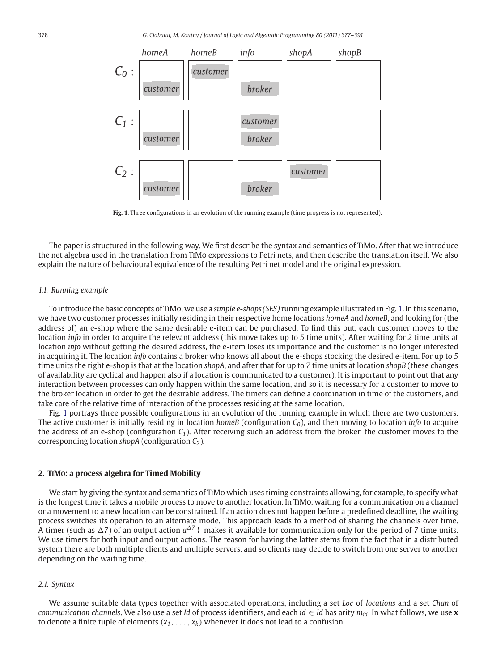378 *G. Ciobanu, M. Koutny / Journal of Logic and Algebraic Programming 80 (2011) 377–391*



**Fig. 1**. Three configurations in an evolution of the running example (time progress is not represented).

<span id="page-1-0"></span>The paper is structured in the following way. We first describe the syntax and semantics of TiMo. After that we introduce the net algebra used in the translation from TiMo expressions to Petri nets, and then describe the translation itself. We also explain the nature of behavioural equivalence of the resulting Petri net model and the original expression.

### *1.1. Running example*

To introduce the basic concepts of TiMo, we use a *simple e-shops (SES)* running example illustrated in Fig. [1.](#page-1-0) In this scenario, we have two customer processes initially residing in their respective home locations *homeA* and *homeB*, and looking for (the address of) an e-shop where the same desirable e-item can be purchased. To find this out, each customer moves to the location *info* in order to acquire the relevant address (this move takes up to *5* time units). After waiting for *2* time units at location *info* without getting the desired address, the e-item loses its importance and the customer is no longer interested in acquiring it. The location *info* contains a broker who knows all about the e-shops stocking the desired e-item. For up to *5* time units the right e-shop is that at the location *shopA*, and after that for up to *7* time units at location *shopB* (these changes of availability are cyclical and happen also if a location is communicated to a customer). It is important to point out that any interaction between processes can only happen within the same location, and so it is necessary for a customer to move to the broker location in order to get the desirable address. The timers can define a coordination in time of the customers, and take care of the relative time of interaction of the processes residing at the same location.

Fig. [1](#page-1-0) portrays three possible configurations in an evolution of the running example in which there are two customers. The active customer is initially residing in location *homeB* (configuration *C0*), and then moving to location *info* to acquire the address of an e-shop (configuration  $C_1$ ). After receiving such an address from the broker, the customer moves to the corresponding location *shopA* (configuration *C2*).

#### **2. TIMO: a process algebra for Timed Mobility**

We start by giving the syntax and semantics of TiMo which uses timing constraints allowing, for example, to specify what is the longest time it takes a mobile process to move to another location. In TiMo, waiting for a communication on a channel or a movement to a new location can be constrained. If an action does not happen before a predefined deadline, the waiting process switches its operation to an alternate mode. This approach leads to a method of sharing the channels over time. A timer (such as  $\Delta$ *7*) of an output action  $a^{\Delta$ **?!** makes it available for communication only for the period of *7* time units. We use timers for both input and output actions. The reason for having the latter stems from the fact that in a distributed system there are both multiple clients and multiple servers, and so clients may decide to switch from one server to another depending on the waiting time.

#### *2.1. Syntax*

We assume suitable data types together with associated operations, including a set *Loc* of *locations* and a set *Chan* of *communication channels*. We also use a set *Id* of process identifiers, and each *id*  $\in$  *Id* has arity  $m_{id}$ . In what follows, we use **x** to denote a finite tuple of elements  $(x_1, \ldots, x_k)$  whenever it does not lead to a confusion.